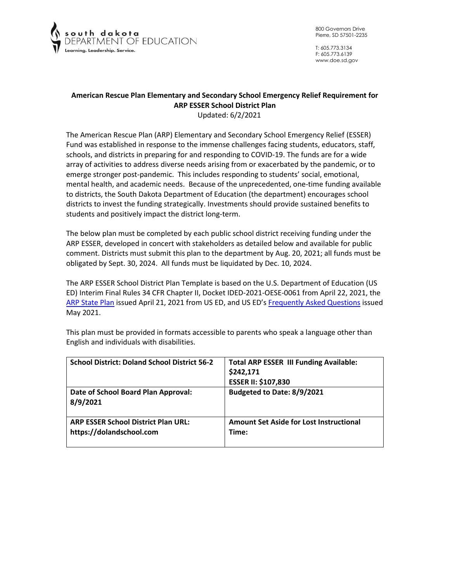

T: 605.773.3134 F: 605.773.6139 www.doe.sd.gov

# **American Rescue Plan Elementary and Secondary School Emergency Relief Requirement for ARP ESSER School District Plan**

Updated: 6/2/2021

The American Rescue Plan (ARP) Elementary and Secondary School Emergency Relief (ESSER) Fund was established in response to the immense challenges facing students, educators, staff, schools, and districts in preparing for and responding to COVID-19. The funds are for a wide array of activities to address diverse needs arising from or exacerbated by the pandemic, or to emerge stronger post-pandemic. This includes responding to students' social, emotional, mental health, and academic needs. Because of the unprecedented, one-time funding available to districts, the South Dakota Department of Education (the department) encourages school districts to invest the funding strategically. Investments should provide sustained benefits to students and positively impact the district long-term.

The below plan must be completed by each public school district receiving funding under the ARP ESSER, developed in concert with stakeholders as detailed below and available for public comment. Districts must submit this plan to the department by Aug. 20, 2021; all funds must be obligated by Sept. 30, 2024. All funds must be liquidated by Dec. 10, 2024.

The ARP ESSER School District Plan Template is based on the U.S. Department of Education (US ED) Interim Final Rules 34 CFR Chapter II, Docket IDED-2021-OESE-0061 from April 22, 2021, the [ARP State Plan](https://oese.ed.gov/files/2021/04/ARP-ESSER-State-Plan-Template-04-20-2021_130PM.pdf) issued April 21, 2021 from US ED, and US ED's [Frequently Asked Questions](https://oese.ed.gov/files/2021/05/ESSER.GEER_.FAQs_5.26.21_745AM_FINALb0cd6833f6f46e03ba2d97d30aff953260028045f9ef3b18ea602db4b32b1d99.pdf) issued May 2021.

| <b>School District: Doland School District 56-2</b>                    | <b>Total ARP ESSER III Funding Available:</b><br>\$242,171<br><b>ESSER II: \$107,830</b> |
|------------------------------------------------------------------------|------------------------------------------------------------------------------------------|
| Date of School Board Plan Approval:<br>8/9/2021                        | Budgeted to Date: 8/9/2021                                                               |
| <b>ARP ESSER School District Plan URL:</b><br>https://dolandschool.com | <b>Amount Set Aside for Lost Instructional</b><br>Time:                                  |

This plan must be provided in formats accessible to parents who speak a language other than English and individuals with disabilities.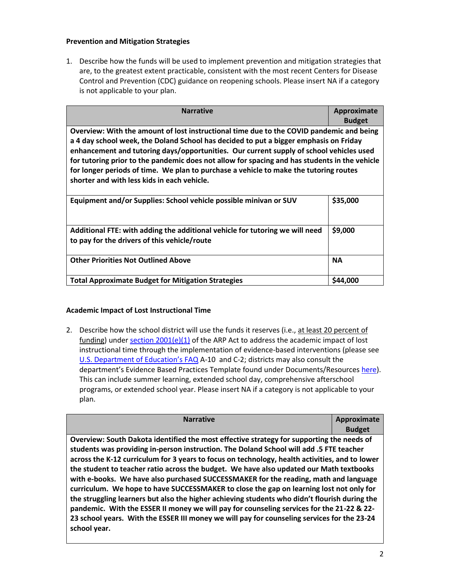### **Prevention and Mitigation Strategies**

1. Describe how the funds will be used to implement prevention and mitigation strategies that are, to the greatest extent practicable, consistent with the most recent Centers for Disease Control and Prevention (CDC) guidance on reopening schools. Please insert NA if a category is not applicable to your plan.

| <b>Narrative</b>                                                                                                                                                                                                                                                                                                                                                                                                                                                                                                      | Approximate<br><b>Budget</b> |
|-----------------------------------------------------------------------------------------------------------------------------------------------------------------------------------------------------------------------------------------------------------------------------------------------------------------------------------------------------------------------------------------------------------------------------------------------------------------------------------------------------------------------|------------------------------|
| Overview: With the amount of lost instructional time due to the COVID pandemic and being<br>a 4 day school week, the Doland School has decided to put a bigger emphasis on Friday<br>enhancement and tutoring days/opportunities. Our current supply of school vehicles used<br>for tutoring prior to the pandemic does not allow for spacing and has students in the vehicle<br>for longer periods of time. We plan to purchase a vehicle to make the tutoring routes<br>shorter and with less kids in each vehicle. |                              |
| Equipment and/or Supplies: School vehicle possible minivan or SUV                                                                                                                                                                                                                                                                                                                                                                                                                                                     | \$35,000                     |
| Additional FTE: with adding the additional vehicle for tutoring we will need<br>to pay for the drivers of this vehicle/route                                                                                                                                                                                                                                                                                                                                                                                          | \$9,000                      |
| <b>Other Priorities Not Outlined Above</b>                                                                                                                                                                                                                                                                                                                                                                                                                                                                            | <b>NA</b>                    |
| <b>Total Approximate Budget for Mitigation Strategies</b>                                                                                                                                                                                                                                                                                                                                                                                                                                                             | \$44,000                     |

# **Academic Impact of Lost Instructional Time**

2. Describe how the school district will use the funds it reserves (i.e., at least 20 percent of funding) under section  $2001(e)(1)$  of the ARP Act to address the academic impact of lost instructional time through the implementation of evidence-based interventions (please see [U.S. Department of Education's FAQ](https://oese.ed.gov/files/2021/05/ESSER.GEER_.FAQs_5.26.21_745AM_FINALb0cd6833f6f46e03ba2d97d30aff953260028045f9ef3b18ea602db4b32b1d99.pdf) A-10 and C-2; districts may also consult the department's Evidence Based Practices Template found under Documents/Resource[s here\)](https://doe.sd.gov/title/schoolimprovement.aspx). This can include summer learning, extended school day, comprehensive afterschool programs, or extended school year. Please insert NA if a category is not applicable to your plan.

| <b>Narrative</b>                                                                               | Approximate   |
|------------------------------------------------------------------------------------------------|---------------|
|                                                                                                | <b>Budget</b> |
| Overview: South Dakota identified the most effective strategy for supporting the needs of      |               |
| students was providing in-person instruction. The Doland School will add .5 FTE teacher        |               |
| across the K-12 curriculum for 3 years to focus on technology, health activities, and to lower |               |
| the student to teacher ratio across the budget. We have also updated our Math textbooks        |               |
| with e-books. We have also purchased SUCCESSMAKER for the reading, math and language           |               |
| curriculum. We hope to have SUCCESSMAKER to close the gap on learning lost not only for        |               |
| the struggling learners but also the higher achieving students who didn't flourish during the  |               |
| pandemic. With the ESSER II money we will pay for counseling services for the 21-22 & 22-      |               |
| 23 school years. With the ESSER III money we will pay for counseling services for the 23-24    |               |
| school year.                                                                                   |               |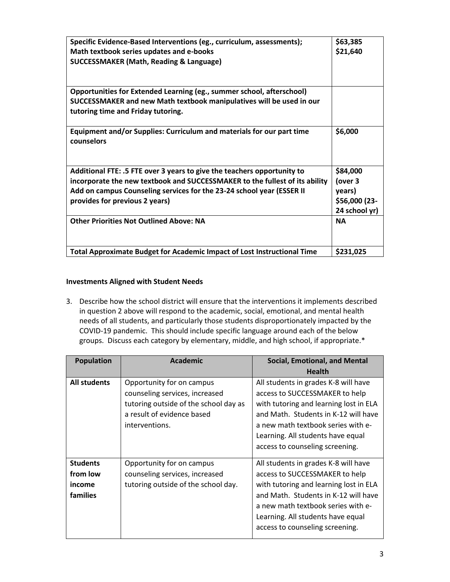| Specific Evidence-Based Interventions (eg., curriculum, assessments);<br>Math textbook series updates and e-books<br><b>SUCCESSMAKER (Math, Reading &amp; Language)</b> | \$63,385<br>\$21,640 |
|-------------------------------------------------------------------------------------------------------------------------------------------------------------------------|----------------------|
|                                                                                                                                                                         |                      |
|                                                                                                                                                                         |                      |
|                                                                                                                                                                         |                      |
|                                                                                                                                                                         |                      |
| Opportunities for Extended Learning (eg., summer school, afterschool)                                                                                                   |                      |
| SUCCESSMAKER and new Math textbook manipulatives will be used in our<br>tutoring time and Friday tutoring.                                                              |                      |
|                                                                                                                                                                         |                      |
| Equipment and/or Supplies: Curriculum and materials for our part time<br>counselors                                                                                     | \$6,000              |
|                                                                                                                                                                         |                      |
| Additional FTE: .5 FTE over 3 years to give the teachers opportunity to                                                                                                 | \$84,000             |
| incorporate the new textbook and SUCCESSMAKER to the fullest of its ability                                                                                             | (over 3              |
| Add on campus Counseling services for the 23-24 school year (ESSER II                                                                                                   | years)               |
| provides for previous 2 years)                                                                                                                                          | \$56,000 (23-        |
|                                                                                                                                                                         | 24 school yr)        |
| <b>Other Priorities Not Outlined Above: NA</b>                                                                                                                          | <b>NA</b>            |
|                                                                                                                                                                         |                      |
| Total Approximate Budget for Academic Impact of Lost Instructional Time                                                                                                 | \$231,025            |

### **Investments Aligned with Student Needs**

3. Describe how the school district will ensure that the interventions it implements described in question 2 above will respond to the academic, social, emotional, and mental health needs of all students, and particularly those students disproportionately impacted by the COVID-19 pandemic. This should include specific language around each of the below groups. Discuss each category by elementary, middle, and high school, if appropriate.\*

| <b>Population</b> | <b>Academic</b>                                                                                                                                      | <b>Social, Emotional, and Mental</b>                                                                                                                                                                                                                                   |
|-------------------|------------------------------------------------------------------------------------------------------------------------------------------------------|------------------------------------------------------------------------------------------------------------------------------------------------------------------------------------------------------------------------------------------------------------------------|
|                   |                                                                                                                                                      | <b>Health</b>                                                                                                                                                                                                                                                          |
| All students      | Opportunity for on campus<br>counseling services, increased<br>tutoring outside of the school day as<br>a result of evidence based<br>interventions. | All students in grades K-8 will have<br>access to SUCCESSMAKER to help<br>with tutoring and learning lost in ELA<br>and Math. Students in K-12 will have<br>a new math textbook series with e-<br>Learning. All students have equal<br>access to counseling screening. |
| <b>Students</b>   | Opportunity for on campus                                                                                                                            | All students in grades K-8 will have                                                                                                                                                                                                                                   |
| from low          | counseling services, increased                                                                                                                       | access to SUCCESSMAKER to help                                                                                                                                                                                                                                         |
| income            | tutoring outside of the school day.                                                                                                                  | with tutoring and learning lost in ELA                                                                                                                                                                                                                                 |
| families          |                                                                                                                                                      | and Math. Students in K-12 will have<br>a new math textbook series with e-<br>Learning. All students have equal<br>access to counseling screening.                                                                                                                     |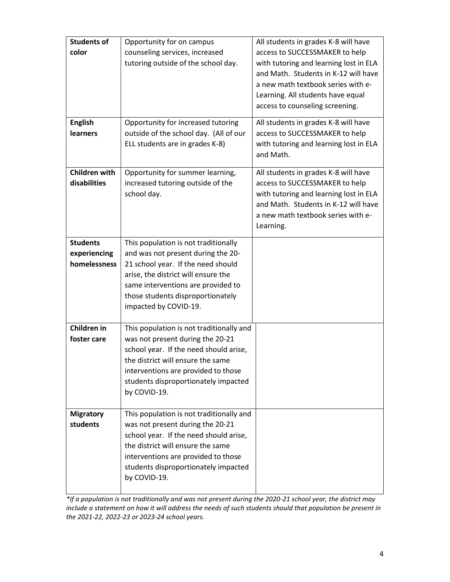| <b>Students of</b><br>color<br><b>English</b><br><b>learners</b> | Opportunity for on campus<br>counseling services, increased<br>tutoring outside of the school day.<br>Opportunity for increased tutoring<br>outside of the school day. (All of our<br>ELL students are in grades K-8)                                       | All students in grades K-8 will have<br>access to SUCCESSMAKER to help<br>with tutoring and learning lost in ELA<br>and Math. Students in K-12 will have<br>a new math textbook series with e-<br>Learning. All students have equal<br>access to counseling screening.<br>All students in grades K-8 will have<br>access to SUCCESSMAKER to help<br>with tutoring and learning lost in ELA<br>and Math. |
|------------------------------------------------------------------|-------------------------------------------------------------------------------------------------------------------------------------------------------------------------------------------------------------------------------------------------------------|---------------------------------------------------------------------------------------------------------------------------------------------------------------------------------------------------------------------------------------------------------------------------------------------------------------------------------------------------------------------------------------------------------|
| <b>Children with</b><br>disabilities                             | Opportunity for summer learning,<br>increased tutoring outside of the<br>school day.                                                                                                                                                                        | All students in grades K-8 will have<br>access to SUCCESSMAKER to help<br>with tutoring and learning lost in ELA<br>and Math. Students in K-12 will have<br>a new math textbook series with e-<br>Learning.                                                                                                                                                                                             |
| <b>Students</b><br>experiencing<br>homelessness                  | This population is not traditionally<br>and was not present during the 20-<br>21 school year. If the need should<br>arise, the district will ensure the<br>same interventions are provided to<br>those students disproportionately<br>impacted by COVID-19. |                                                                                                                                                                                                                                                                                                                                                                                                         |
| Children in<br>foster care                                       | This population is not traditionally and<br>was not present during the 20-21<br>school year. If the need should arise,<br>the district will ensure the same<br>interventions are provided to those<br>students disproportionately impacted<br>by COVID-19.  |                                                                                                                                                                                                                                                                                                                                                                                                         |
| <b>Migratory</b><br>students                                     | This population is not traditionally and<br>was not present during the 20-21<br>school year. If the need should arise,<br>the district will ensure the same<br>interventions are provided to those<br>students disproportionately impacted<br>by COVID-19.  |                                                                                                                                                                                                                                                                                                                                                                                                         |

*\*If a population is not traditionally and was not present during the 2020-21 school year, the district may include a statement on how it will address the needs of such students should that population be present in the 2021-22, 2022-23 or 2023-24 school years.*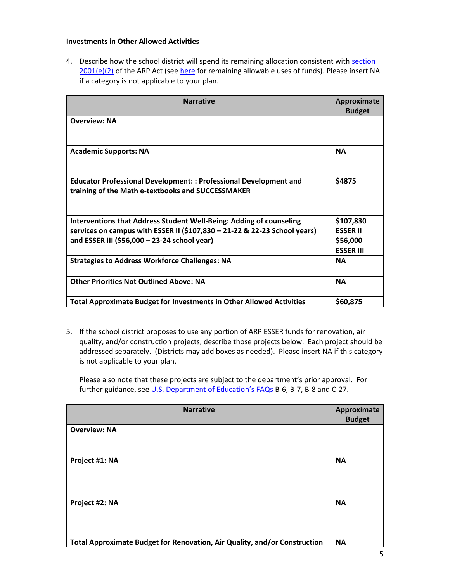#### **Investments in Other Allowed Activities**

4. Describe how the school district will spend its remaining allocation consistent with section [2001\(e\)\(2\)](https://www.congress.gov/bill/117th-congress/house-bill/1319/text#H1C1CA7B872894DE0B325C5BB06991BB8) of the ARP Act (see [here](https://www.congress.gov/bill/117th-congress/house-bill/1319/text#H1C1CA7B872894DE0B325C5BB06991BB8) for remaining allowable uses of funds). Please insert NA if a category is not applicable to your plan.

| <b>Narrative</b>                                                                                                       | Approximate<br><b>Budget</b> |
|------------------------------------------------------------------------------------------------------------------------|------------------------------|
| <b>Overview: NA</b>                                                                                                    |                              |
| <b>Academic Supports: NA</b>                                                                                           | <b>NA</b>                    |
| Educator Professional Development: : Professional Development and<br>training of the Math e-textbooks and SUCCESSMAKER | \$4875                       |
| Interventions that Address Student Well-Being: Adding of counseling                                                    | \$107,830                    |
| services on campus with ESSER II (\$107,830 - 21-22 & 22-23 School years)                                              | <b>FSSER II</b>              |
| and ESSER III (\$56,000 - 23-24 school year)                                                                           | \$56,000                     |
|                                                                                                                        | <b>ESSER III</b>             |
| <b>Strategies to Address Workforce Challenges: NA</b>                                                                  | <b>NA</b>                    |
| <b>Other Priorities Not Outlined Above: NA</b>                                                                         | <b>NA</b>                    |
| <b>Total Approximate Budget for Investments in Other Allowed Activities</b>                                            | \$60,875                     |

5. If the school district proposes to use any portion of ARP ESSER funds for renovation, air quality, and/or construction projects, describe those projects below. Each project should be addressed separately. (Districts may add boxes as needed). Please insert NA if this category is not applicable to your plan.

Please also note that these projects are subject to the department's prior approval. For further guidance, see [U.S. Department of Education's FAQs](https://oese.ed.gov/files/2021/05/ESSER.GEER_.FAQs_5.26.21_745AM_FINALb0cd6833f6f46e03ba2d97d30aff953260028045f9ef3b18ea602db4b32b1d99.pdf) B-6, B-7, B-8 and C-27.

| <b>Narrative</b>                                                          | Approximate   |
|---------------------------------------------------------------------------|---------------|
|                                                                           | <b>Budget</b> |
| <b>Overview: NA</b>                                                       |               |
| Project #1: NA                                                            | <b>NA</b>     |
| Project #2: NA                                                            | <b>NA</b>     |
| Total Approximate Budget for Renovation, Air Quality, and/or Construction | <b>NA</b>     |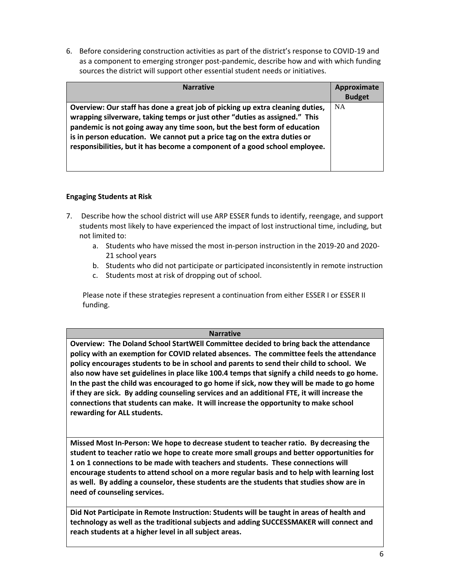6. Before considering construction activities as part of the district's response to COVID-19 and as a component to emerging stronger post-pandemic, describe how and with which funding sources the district will support other essential student needs or initiatives.

| <b>Narrative</b>                                                                                                                                                                                                                                                                                                                                                                                  | Approximate<br><b>Budget</b> |
|---------------------------------------------------------------------------------------------------------------------------------------------------------------------------------------------------------------------------------------------------------------------------------------------------------------------------------------------------------------------------------------------------|------------------------------|
| Overview: Our staff has done a great job of picking up extra cleaning duties,<br>wrapping silverware, taking temps or just other "duties as assigned." This<br>pandemic is not going away any time soon, but the best form of education<br>is in person education. We cannot put a price tag on the extra duties or<br>responsibilities, but it has become a component of a good school employee. | <b>NA</b>                    |

# **Engaging Students at Risk**

- 7. Describe how the school district will use ARP ESSER funds to identify, reengage, and support students most likely to have experienced the impact of lost instructional time, including, but not limited to:
	- a. Students who have missed the most in-person instruction in the 2019-20 and 2020- 21 school years
	- b. Students who did not participate or participated inconsistently in remote instruction
	- c. Students most at risk of dropping out of school.

Please note if these strategies represent a continuation from either ESSER I or ESSER II funding.

### **Narrative**

**Overview: The Doland School StartWEll Committee decided to bring back the attendance policy with an exemption for COVID related absences. The committee feels the attendance policy encourages students to be in school and parents to send their child to school. We also now have set guidelines in place like 100.4 temps that signify a child needs to go home. In the past the child was encouraged to go home if sick, now they will be made to go home if they are sick. By adding counseling services and an additional FTE, it will increase the connections that students can make. It will increase the opportunity to make school rewarding for ALL students.**

**Missed Most In-Person: We hope to decrease student to teacher ratio. By decreasing the student to teacher ratio we hope to create more small groups and better opportunities for 1 on 1 connections to be made with teachers and students. These connections will encourage students to attend school on a more regular basis and to help with learning lost as well. By adding a counselor, these students are the students that studies show are in need of counseling services.**

**Did Not Participate in Remote Instruction: Students will be taught in areas of health and technology as well as the traditional subjects and adding SUCCESSMAKER will connect and reach students at a higher level in all subject areas.**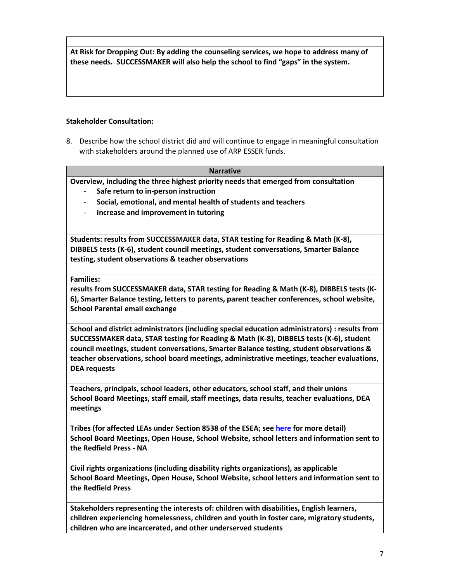**At Risk for Dropping Out: By adding the counseling services, we hope to address many of these needs. SUCCESSMAKER will also help the school to find "gaps" in the system.**

### **Stakeholder Consultation:**

8. Describe how the school district did and will continue to engage in meaningful consultation with stakeholders around the planned use of ARP ESSER funds.

#### **Narrative**

**Overview, including the three highest priority needs that emerged from consultation**

- **Safe return to in-person instruction**
- **Social, emotional, and mental health of students and teachers**
- **Increase and improvement in tutoring**

**Students: results from SUCCESSMAKER data, STAR testing for Reading & Math (K-8), DIBBELS tests (K-6), student council meetings, student conversations, Smarter Balance testing, student observations & teacher observations**

### **Families:**

**results from SUCCESSMAKER data, STAR testing for Reading & Math (K-8), DIBBELS tests (K-6), Smarter Balance testing, letters to parents, parent teacher conferences, school website, School Parental email exchange**

**School and district administrators (including special education administrators) : results from SUCCESSMAKER data, STAR testing for Reading & Math (K-8), DIBBELS tests (K-6), student council meetings, student conversations, Smarter Balance testing, student observations & teacher observations, school board meetings, administrative meetings, teacher evaluations, DEA requests**

**Teachers, principals, school leaders, other educators, school staff, and their unions School Board Meetings, staff email, staff meetings, data results, teacher evaluations, DEA meetings**

**Tribes (for affected LEAs under Section 8538 of the ESEA; see [here](https://doe.sd.gov/title/documents/Tribal-Cons-Guid-2020.pdf) for more detail) School Board Meetings, Open House, School Website, school letters and information sent to the Redfield Press - NA**

**Civil rights organizations (including disability rights organizations), as applicable School Board Meetings, Open House, School Website, school letters and information sent to the Redfield Press**

**Stakeholders representing the interests of: children with disabilities, English learners, children experiencing homelessness, children and youth in foster care, migratory students, children who are incarcerated, and other underserved students**